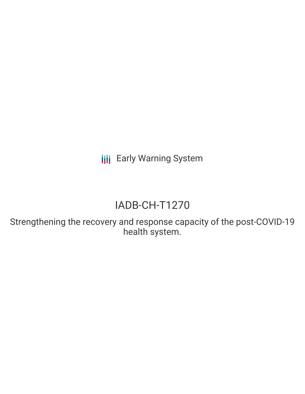**III** Early Warning System

# IADB-CH-T1270

Strengthening the recovery and response capacity of the post-COVID-19 health system.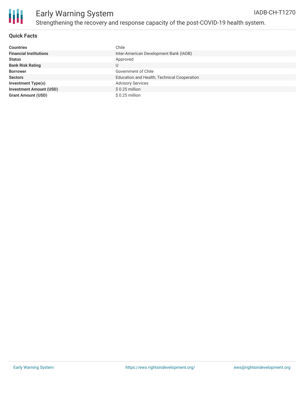

## Early Warning System Strengthening the recovery and response capacity of the post-COVID-19 health system.

#### **Quick Facts**

| <b>Countries</b>               | Chile                                       |
|--------------------------------|---------------------------------------------|
| <b>Financial Institutions</b>  | Inter-American Development Bank (IADB)      |
| <b>Status</b>                  | Approved                                    |
| <b>Bank Risk Rating</b>        | U                                           |
| <b>Borrower</b>                | Government of Chile                         |
| <b>Sectors</b>                 | Education and Health, Technical Cooperation |
| <b>Investment Type(s)</b>      | <b>Advisory Services</b>                    |
| <b>Investment Amount (USD)</b> | $$0.25$ million                             |
| <b>Grant Amount (USD)</b>      | $$0.25$ million                             |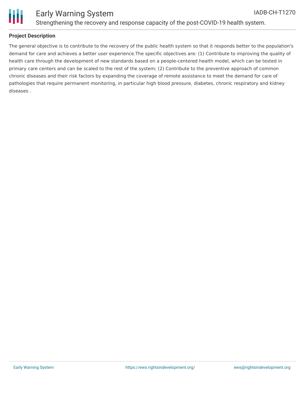

### **Project Description**

The general objective is to contribute to the recovery of the public health system so that it responds better to the population's demand for care and achieves a better user experience.The specific objectives are: (1) Contribute to improving the quality of health care through the development of new standards based on a people-centered health model, which can be tested in primary care centers and can be scaled to the rest of the system; (2) Contribute to the preventive approach of common chronic diseases and their risk factors by expanding the coverage of remote assistance to meet the demand for care of pathologies that require permanent monitoring, in particular high blood pressure, diabetes, chronic respiratory and kidney diseases .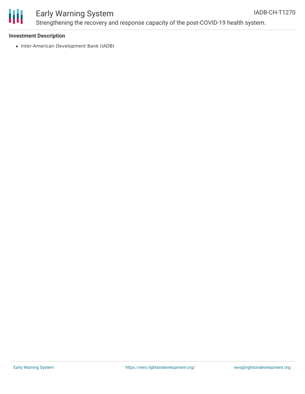

## Early Warning System

Strengthening the recovery and response capacity of the post-COVID-19 health system.

#### **Investment Description**

• Inter-American Development Bank (IADB)